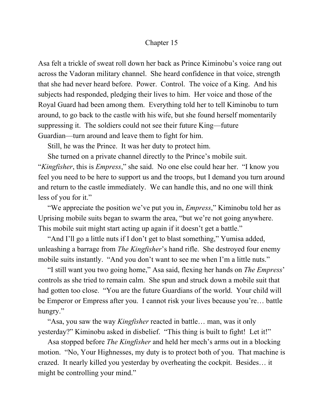## Chapter 15

Asa felt a trickle of sweat roll down her back as Prince Kiminobu's voice rang out across the Vadoran military channel. She heard confidence in that voice, strength that she had never heard before. Power. Control. The voice of a King. And his subjects had responded, pledging their lives to him. Her voice and those of the Royal Guard had been among them. Everything told her to tell Kiminobu to turn around, to go back to the castle with his wife, but she found herself momentarily suppressing it. The soldiers could not see their future King—future Guardian—turn around and leave them to fight for him.

Still, he was the Prince. It was her duty to protect him.

She turned on a private channel directly to the Prince's mobile suit. "*Kingfisher*, this is *Empress*," she said. No one else could hear her. "I know you feel you need to be here to support us and the troops, but I demand you turn around and return to the castle immediately. We can handle this, and no one will think less of you for it."

"We appreciate the position we've put you in, *Empress*," Kiminobu told her as Uprising mobile suits began to swarm the area, "but we're not going anywhere. This mobile suit might start acting up again if it doesn't get a battle."

"And I'll go a little nuts if I don't get to blast something," Yumisa added, unleashing a barrage from *The Kingfisher*'s hand rifle. She destroyed four enemy mobile suits instantly. "And you don't want to see me when I'm a little nuts."

"I still want you two going home," Asa said, flexing her hands on *The Empress*' controls as she tried to remain calm. She spun and struck down a mobile suit that had gotten too close. "You are the future Guardians of the world. Your child will be Emperor or Empress after you. I cannot risk your lives because you're… battle hungry."

"Asa, you saw the way *Kingfisher* reacted in battle… man, was it only yesterday?" Kiminobu asked in disbelief. "This thing is built to fight! Let it!"

Asa stopped before *The Kingfisher* and held her mech's arms out in a blocking motion. "No, Your Highnesses, my duty is to protect both of you. That machine is crazed. It nearly killed you yesterday by overheating the cockpit. Besides… it might be controlling your mind."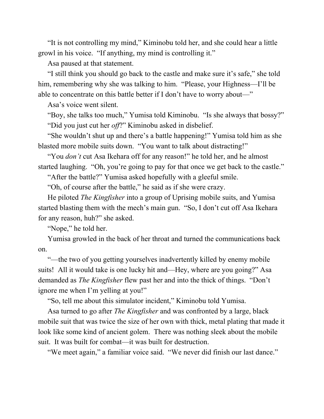"It is not controlling my mind," Kiminobu told her, and she could hear a little growl in his voice. "If anything, my mind is controlling it."

Asa paused at that statement.

"I still think you should go back to the castle and make sure it's safe," she told him, remembering why she was talking to him. "Please, your Highness—I'll be able to concentrate on this battle better if I don't have to worry about—"

Asa's voice went silent.

"Boy, she talks too much," Yumisa told Kiminobu. "Is she always that bossy?" "Did you just cut her *off*?" Kiminobu asked in disbelief.

"She wouldn't shut up and there's a battle happening!" Yumisa told him as she blasted more mobile suits down. "You want to talk about distracting!"

"You *don't* cut Asa Ikehara off for any reason!" he told her, and he almost started laughing. "Oh, you're going to pay for that once we get back to the castle."

"After the battle?" Yumisa asked hopefully with a gleeful smile.

"Oh, of course after the battle," he said as if she were crazy.

He piloted *The Kingfisher* into a group of Uprising mobile suits, and Yumisa started blasting them with the mech's main gun. "So, I don't cut off Asa Ikehara for any reason, huh?" she asked.

"Nope," he told her.

Yumisa growled in the back of her throat and turned the communications back on.

"—the two of you getting yourselves inadvertently killed by enemy mobile suits! All it would take is one lucky hit and—Hey, where are you going?" Asa demanded as *The Kingfisher* flew past her and into the thick of things. "Don't ignore me when I'm yelling at you!"

"So, tell me about this simulator incident," Kiminobu told Yumisa.

Asa turned to go after *The Kingfisher* and was confronted by a large, black mobile suit that was twice the size of her own with thick, metal plating that made it look like some kind of ancient golem. There was nothing sleek about the mobile suit. It was built for combat—it was built for destruction.

"We meet again," a familiar voice said. "We never did finish our last dance."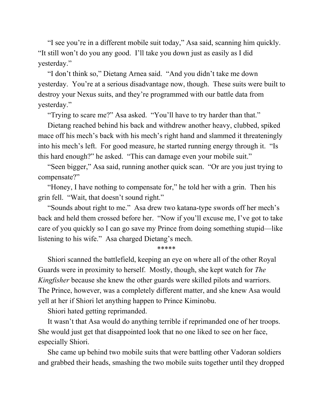"I see you're in a different mobile suit today," Asa said, scanning him quickly. "It still won't do you any good. I'll take you down just as easily as I did yesterday."

"I don't think so," Dietang Arnea said. "And you didn't take me down yesterday. You're at a serious disadvantage now, though. These suits were built to destroy your Nexus suits, and they're programmed with our battle data from yesterday."

"Trying to scare me?" Asa asked. "You'll have to try harder than that."

Dietang reached behind his back and withdrew another heavy, clubbed, spiked mace off his mech's back with his mech's right hand and slammed it threateningly into his mech's left. For good measure, he started running energy through it. "Is this hard enough?" he asked. "This can damage even your mobile suit."

"Seen bigger," Asa said, running another quick scan. "Or are you just trying to compensate?"

"Honey, I have nothing to compensate for," he told her with a grin. Then his grin fell. "Wait, that doesn't sound right."

"Sounds about right to me." Asa drew two katana-type swords off her mech's back and held them crossed before her. "Now if you'll excuse me, I've got to take care of you quickly so I can go save my Prince from doing something stupid—like listening to his wife." Asa charged Dietang's mech.

## \*\*\*\*\*

Shiori scanned the battlefield, keeping an eye on where all of the other Royal Guards were in proximity to herself. Mostly, though, she kept watch for *The Kingfisher* because she knew the other guards were skilled pilots and warriors. The Prince, however, was a completely different matter, and she knew Asa would yell at her if Shiori let anything happen to Prince Kiminobu.

Shiori hated getting reprimanded.

It wasn't that Asa would do anything terrible if reprimanded one of her troops. She would just get that disappointed look that no one liked to see on her face, especially Shiori.

She came up behind two mobile suits that were battling other Vadoran soldiers and grabbed their heads, smashing the two mobile suits together until they dropped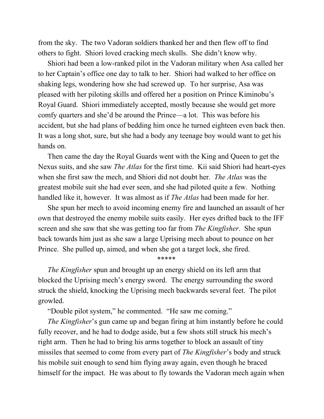from the sky. The two Vadoran soldiers thanked her and then flew off to find others to fight. Shiori loved cracking mech skulls. She didn't know why.

Shiori had been a low-ranked pilot in the Vadoran military when Asa called her to her Captain's office one day to talk to her. Shiori had walked to her office on shaking legs, wondering how she had screwed up. To her surprise, Asa was pleased with her piloting skills and offered her a position on Prince Kiminobu's Royal Guard. Shiori immediately accepted, mostly because she would get more comfy quarters and she'd be around the Prince—a lot. This was before his accident, but she had plans of bedding him once he turned eighteen even back then. It was a long shot, sure, but she had a body any teenage boy would want to get his hands on.

Then came the day the Royal Guards went with the King and Queen to get the Nexus suits, and she saw *The Atlas* for the first time. Kii said Shiori had heart-eyes when she first saw the mech, and Shiori did not doubt her. *The Atlas* was the greatest mobile suit she had ever seen, and she had piloted quite a few. Nothing handled like it, however. It was almost as if *The Atlas* had been made for her.

She spun her mech to avoid incoming enemy fire and launched an assault of her own that destroyed the enemy mobile suits easily. Her eyes drifted back to the IFF screen and she saw that she was getting too far from *The Kingfisher*. She spun back towards him just as she saw a large Uprising mech about to pounce on her Prince. She pulled up, aimed, and when she got a target lock, she fired.

\*\*\*\*\*

*The Kingfisher* spun and brought up an energy shield on its left arm that blocked the Uprising mech's energy sword. The energy surrounding the sword struck the shield, knocking the Uprising mech backwards several feet. The pilot growled.

"Double pilot system," he commented. "He saw me coming."

*The Kingfisher*'s gun came up and began firing at him instantly before he could fully recover, and he had to dodge aside, but a few shots still struck his mech's right arm. Then he had to bring his arms together to block an assault of tiny missiles that seemed to come from every part of *The Kingfisher*'s body and struck his mobile suit enough to send him flying away again, even though he braced himself for the impact. He was about to fly towards the Vadoran mech again when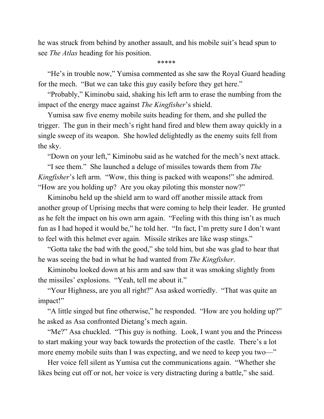he was struck from behind by another assault, and his mobile suit's head spun to see *The Atlas* heading for his position.

\*\*\*\*\*

"He's in trouble now," Yumisa commented as she saw the Royal Guard heading for the mech. "But we can take this guy easily before they get here."

"Probably," Kiminobu said, shaking his left arm to erase the numbing from the impact of the energy mace against *The Kingfisher*'s shield.

Yumisa saw five enemy mobile suits heading for them, and she pulled the trigger. The gun in their mech's right hand fired and blew them away quickly in a single sweep of its weapon. She howled delightedly as the enemy suits fell from the sky.

"Down on your left," Kiminobu said as he watched for the mech's next attack.

"I see them." She launched a deluge of missiles towards them from *The Kingfisher*'s left arm. "Wow, this thing is packed with weapons!" she admired. "How are you holding up? Are you okay piloting this monster now?"

Kiminobu held up the shield arm to ward off another missile attack from another group of Uprising mechs that were coming to help their leader. He grunted as he felt the impact on his own arm again. "Feeling with this thing isn't as much fun as I had hoped it would be," he told her. "In fact, I'm pretty sure I don't want to feel with this helmet ever again. Missile strikes are like wasp stings."

"Gotta take the bad with the good," she told him, but she was glad to hear that he was seeing the bad in what he had wanted from *The Kingfisher*.

Kiminobu looked down at his arm and saw that it was smoking slightly from the missiles' explosions. "Yeah, tell me about it."

"Your Highness, are you all right?" Asa asked worriedly. "That was quite an impact!"

"A little singed but fine otherwise," he responded. "How are you holding up?" he asked as Asa confronted Dietang's mech again.

"Me?" Asa chuckled. "This guy is nothing. Look, I want you and the Princess to start making your way back towards the protection of the castle. There's a lot more enemy mobile suits than I was expecting, and we need to keep you two—"

Her voice fell silent as Yumisa cut the communications again. "Whether she likes being cut off or not, her voice is very distracting during a battle," she said.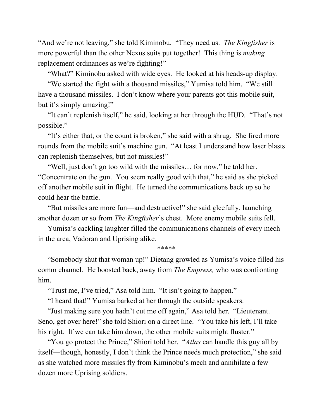"And we're not leaving," she told Kiminobu. "They need us. *The Kingfisher* is more powerful than the other Nexus suits put together! This thing is *making* replacement ordinances as we're fighting!"

"What?" Kiminobu asked with wide eyes. He looked at his heads-up display.

"We started the fight with a thousand missiles," Yumisa told him. "We still have a thousand missiles. I don't know where your parents got this mobile suit, but it's simply amazing!"

"It can't replenish itself," he said, looking at her through the HUD. "That's not possible."

"It's either that, or the count is broken," she said with a shrug. She fired more rounds from the mobile suit's machine gun. "At least I understand how laser blasts can replenish themselves, but not missiles!"

"Well, just don't go too wild with the missiles… for now," he told her. "Concentrate on the gun. You seem really good with that," he said as she picked off another mobile suit in flight. He turned the communications back up so he could hear the battle.

"But missiles are more fun—and destructive!" she said gleefully, launching another dozen or so from *The Kingfisher*'s chest. More enemy mobile suits fell.

Yumisa's cackling laughter filled the communications channels of every mech in the area, Vadoran and Uprising alike.

\*\*\*\*\*

"Somebody shut that woman up!" Dietang growled as Yumisa's voice filled his comm channel. He boosted back, away from *The Empress,* who was confronting him.

"Trust me, I've tried," Asa told him. "It isn't going to happen."

"I heard that!" Yumisa barked at her through the outside speakers.

"Just making sure you hadn't cut me off again," Asa told her. "Lieutenant. Seno, get over here!" she told Shiori on a direct line. "You take his left, I'll take his right. If we can take him down, the other mobile suits might fluster."

"You go protect the Prince," Shiori told her. "*Atlas* can handle this guy all by itself—though, honestly, I don't think the Prince needs much protection," she said as she watched more missiles fly from Kiminobu's mech and annihilate a few dozen more Uprising soldiers.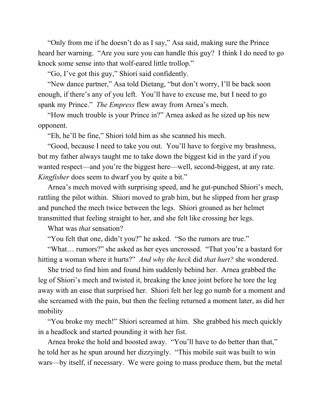"Only from me if he doesn't do as I say," Asa said, making sure the Prince heard her warning. "Are you sure you can handle this guy? I think I do need to go knock some sense into that wolf-eared little trollop."

"Go, I've got this guy," Shiori said confidently.

"New dance partner," Asa told Dietang, "but don't worry, I'll be back soon enough, if there's any of you left. You'll have to excuse me, but I need to go spank my Prince." *The Empress* flew away from Arnea's mech.

"How much trouble is your Prince in?" Arnea asked as he sized up his new opponent.

"Eh, he'll be fine," Shiori told him as she scanned his mech.

"Good, because I need to take you out. You'll have to forgive my brashness, but my father always taught me to take down the biggest kid in the yard if you wanted respect—and you're the biggest here—well, second-biggest, at any rate. *Kingfisher* does seem to dwarf you by quite a bit."

Arnea's mech moved with surprising speed, and he gut-punched Shiori's mech, rattling the pilot within. Shiori moved to grab him, but he slipped from her grasp and punched the mech twice between the legs. Shiori groaned as her helmet transmitted that feeling straight to her, and she felt like crossing her legs.

What was *that* sensation?

"You felt that one, didn't you?" he asked. "So the rumors are true."

"What… rumors?" she asked as her eyes uncrossed. "That you're a bastard for hitting a woman where it hurts?" *And why the heck* did *that hurt?* she wondered.

She tried to find him and found him suddenly behind her. Arnea grabbed the leg of Shiori's mech and twisted it, breaking the knee joint before he tore the leg away with an ease that surprised her. Shiori felt her leg go numb for a moment and she screamed with the pain, but then the feeling returned a moment later, as did her mobility

"You broke my mech!" Shiori screamed at him. She grabbed his mech quickly in a headlock and started pounding it with her fist.

Arnea broke the hold and boosted away. "You'll have to do better than that," he told her as he spun around her dizzyingly. "This mobile suit was built to win wars—by itself, if necessary. We were going to mass produce them, but the metal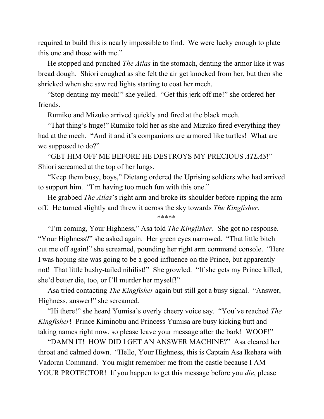required to build this is nearly impossible to find. We were lucky enough to plate this one and those with me."

He stopped and punched *The Atlas* in the stomach, denting the armor like it was bread dough. Shiori coughed as she felt the air get knocked from her, but then she shrieked when she saw red lights starting to coat her mech.

"Stop denting my mech!" she yelled. "Get this jerk off me!" she ordered her friends.

Rumiko and Mizuko arrived quickly and fired at the black mech.

"That thing's huge!" Rumiko told her as she and Mizuko fired everything they had at the mech. "And it and it's companions are armored like turtles! What are we supposed to do?"

"GET HIM OFF ME BEFORE HE DESTROYS MY PRECIOUS *ATLAS*!" Shiori screamed at the top of her lungs.

"Keep them busy, boys," Dietang ordered the Uprising soldiers who had arrived to support him. "I'm having too much fun with this one."

He grabbed *The Atlas*'s right arm and broke its shoulder before ripping the arm off. He turned slightly and threw it across the sky towards *The Kingfisher*.

\*\*\*\*\*

"I'm coming, Your Highness," Asa told *The Kingfisher*. She got no response. "Your Highness?" she asked again. Her green eyes narrowed. "That little bitch cut me off again!" she screamed, pounding her right arm command console. "Here I was hoping she was going to be a good influence on the Prince, but apparently not! That little bushy-tailed nihilist!" She growled. "If she gets my Prince killed, she'd better die, too, or I'll murder her myself!"

Asa tried contacting *The Kingfisher* again but still got a busy signal. "Answer, Highness, answer!" she screamed.

"Hi there!" she heard Yumisa's overly cheery voice say. "You've reached *The Kingfisher*! Prince Kiminobu and Princess Yumisa are busy kicking butt and taking names right now, so please leave your message after the bark! WOOF!"

"DAMN IT! HOW DID I GET AN ANSWER MACHINE?" Asa cleared her throat and calmed down. "Hello, Your Highness, this is Captain Asa Ikehara with Vadoran Command. You might remember me from the castle because I AM YOUR PROTECTOR! If you happen to get this message before you *die*, please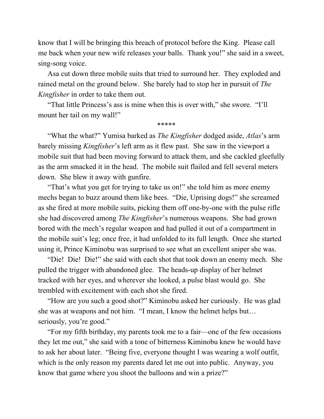know that I will be bringing this breach of protocol before the King. Please call me back when your new wife releases your balls. Thank you!" she said in a sweet, sing-song voice.

Asa cut down three mobile suits that tried to surround her. They exploded and rained metal on the ground below. She barely had to stop her in pursuit of *The Kingfisher* in order to take them out.

"That little Princess's ass is mine when this is over with," she swore. "I'll mount her tail on my wall!"

\*\*\*\*\*

"What the what?" Yumisa barked as *The Kingfisher* dodged aside, *Atlas*'s arm barely missing *Kingfisher*'s left arm as it flew past. She saw in the viewport a mobile suit that had been moving forward to attack them, and she cackled gleefully as the arm smacked it in the head. The mobile suit flailed and fell several meters down. She blew it away with gunfire.

"That's what you get for trying to take us on!" she told him as more enemy mechs began to buzz around them like bees. "Die, Uprising dogs!" she screamed as she fired at more mobile suits, picking them off one-by-one with the pulse rifle she had discovered among *The Kingfisher*'s numerous weapons. She had grown bored with the mech's regular weapon and had pulled it out of a compartment in the mobile suit's leg; once free, it had unfolded to its full length. Once she started using it, Prince Kiminobu was surprised to see what an excellent sniper she was.

"Die! Die! Die!" she said with each shot that took down an enemy mech. She pulled the trigger with abandoned glee. The heads-up display of her helmet tracked with her eyes, and wherever she looked, a pulse blast would go. She trembled with excitement with each shot she fired.

"How are you such a good shot?" Kiminobu asked her curiously. He was glad she was at weapons and not him. "I mean, I know the helmet helps but… seriously, you're good."

"For my fifth birthday, my parents took me to a fair—one of the few occasions they let me out," she said with a tone of bitterness Kiminobu knew he would have to ask her about later. "Being five, everyone thought I was wearing a wolf outfit, which is the only reason my parents dared let me out into public. Anyway, you know that game where you shoot the balloons and win a prize?"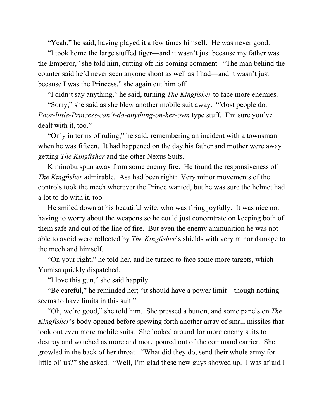"Yeah," he said, having played it a few times himself. He was never good.

"I took home the large stuffed tiger—and it wasn't just because my father was the Emperor," she told him, cutting off his coming comment. "The man behind the counter said he'd never seen anyone shoot as well as I had—and it wasn't just because I was the Princess," she again cut him off.

"I didn't say anything," he said, turning *The Kingfisher* to face more enemies.

"Sorry," she said as she blew another mobile suit away. "Most people do. *Poor-little-Princess-can't-do-anything-on-her-own* type stuff. I'm sure you've dealt with it, too."

"Only in terms of ruling," he said, remembering an incident with a townsman when he was fifteen. It had happened on the day his father and mother were away getting *The Kingfisher* and the other Nexus Suits.

Kiminobu spun away from some enemy fire. He found the responsiveness of *The Kingfisher* admirable. Asa had been right: Very minor movements of the controls took the mech wherever the Prince wanted, but he was sure the helmet had a lot to do with it, too.

He smiled down at his beautiful wife, who was firing joyfully. It was nice not having to worry about the weapons so he could just concentrate on keeping both of them safe and out of the line of fire. But even the enemy ammunition he was not able to avoid were reflected by *The Kingfisher*'s shields with very minor damage to the mech and himself.

"On your right," he told her, and he turned to face some more targets, which Yumisa quickly dispatched.

"I love this gun," she said happily.

"Be careful," he reminded her; "it should have a power limit—though nothing seems to have limits in this suit."

"Oh, we're good," she told him. She pressed a button, and some panels on *The Kingfisher*'s body opened before spewing forth another array of small missiles that took out even more mobile suits. She looked around for more enemy suits to destroy and watched as more and more poured out of the command carrier. She growled in the back of her throat. "What did they do, send their whole army for little ol' us?" she asked. "Well, I'm glad these new guys showed up. I was afraid I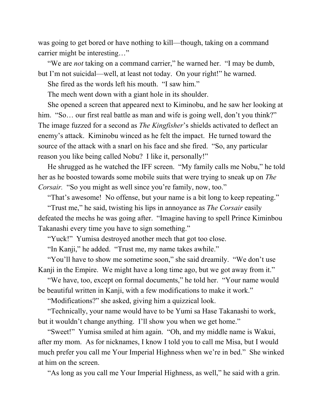was going to get bored or have nothing to kill—though, taking on a command carrier might be interesting…"

"We are *not* taking on a command carrier," he warned her. "I may be dumb, but I'm not suicidal—well, at least not today. On your right!" he warned.

She fired as the words left his mouth. "I saw him."

The mech went down with a giant hole in its shoulder.

She opened a screen that appeared next to Kiminobu, and he saw her looking at him. "So... our first real battle as man and wife is going well, don't you think?" The image fuzzed for a second as *The Kingfisher*'s shields activated to deflect an enemy's attack. Kiminobu winced as he felt the impact. He turned toward the source of the attack with a snarl on his face and she fired. "So, any particular reason you like being called Nobu? I like it, personally!"

He shrugged as he watched the IFF screen. "My family calls me Nobu," he told her as he boosted towards some mobile suits that were trying to sneak up on *The Corsair.* "So you might as well since you're family, now, too."

"That's awesome! No offense, but your name is a bit long to keep repeating."

"Trust me," he said, twisting his lips in annoyance as *The Corsair* easily defeated the mechs he was going after. "Imagine having to spell Prince Kiminbou Takanashi every time you have to sign something."

"Yuck!" Yumisa destroyed another mech that got too close.

"In Kanji," he added. "Trust me, my name takes awhile."

"You'll have to show me sometime soon," she said dreamily. "We don't use Kanji in the Empire. We might have a long time ago, but we got away from it."

"We have, too, except on formal documents," he told her. "Your name would be beautiful written in Kanji, with a few modifications to make it work."

"Modifications?" she asked, giving him a quizzical look.

"Technically, your name would have to be Yumi sa Hase Takanashi to work, but it wouldn't change anything. I'll show you when we get home."

"Sweet!" Yumisa smiled at him again. "Oh, and my middle name is Wakui, after my mom. As for nicknames, I know I told you to call me Misa, but I would much prefer you call me Your Imperial Highness when we're in bed." She winked at him on the screen.

"As long as you call me Your Imperial Highness, as well," he said with a grin.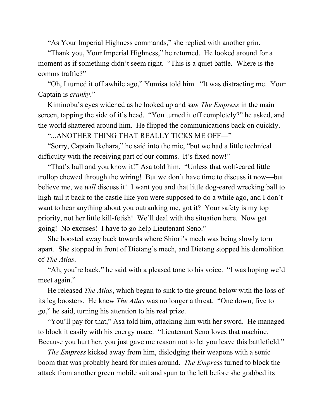"As Your Imperial Highness commands," she replied with another grin.

"Thank you, Your Imperial Highness," he returned. He looked around for a moment as if something didn't seem right. "This is a quiet battle. Where is the comms traffic?"

"Oh, I turned it off awhile ago," Yumisa told him. "It was distracting me. Your Captain is *cranky*."

Kiminobu's eyes widened as he looked up and saw *The Empress* in the main screen, tapping the side of it's head. "You turned it off completely?" he asked, and the world shattered around him. He flipped the communications back on quickly.

"...ANOTHER THING THAT REALLY TICKS ME OFF—"

"Sorry, Captain Ikehara," he said into the mic, "but we had a little technical difficulty with the receiving part of our comms. It's fixed now!"

"That's bull and you know it!" Asa told him. "Unless that wolf-eared little trollop chewed through the wiring! But we don't have time to discuss it now—but believe me, we *will* discuss it! I want you and that little dog-eared wrecking ball to high-tail it back to the castle like you were supposed to do a while ago, and I don't want to hear anything about you outranking me, got it? Your safety is my top priority, not her little kill-fetish! We'll deal with the situation here. Now get going! No excuses! I have to go help Lieutenant Seno."

She boosted away back towards where Shiori's mech was being slowly torn apart. She stopped in front of Dietang's mech, and Dietang stopped his demolition of *The Atlas*.

"Ah, you're back," he said with a pleased tone to his voice. "I was hoping we'd meet again."

He released *The Atlas*, which began to sink to the ground below with the loss of its leg boosters. He knew *The Atlas* was no longer a threat. "One down, five to go," he said, turning his attention to his real prize.

"You'll pay for that," Asa told him, attacking him with her sword. He managed to block it easily with his energy mace. "Lieutenant Seno loves that machine. Because you hurt her, you just gave me reason not to let you leave this battlefield."

*The Empress* kicked away from him, dislodging their weapons with a sonic boom that was probably heard for miles around. *The Empress* turned to block the attack from another green mobile suit and spun to the left before she grabbed its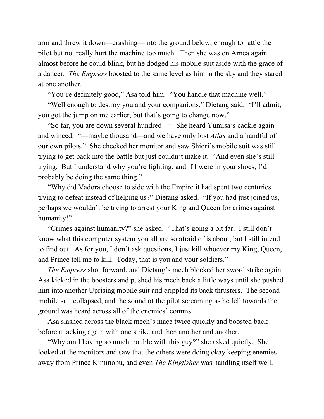arm and threw it down—crashing—into the ground below, enough to rattle the pilot but not really hurt the machine too much. Then she was on Arnea again almost before he could blink, but he dodged his mobile suit aside with the grace of a dancer. *The Empress* boosted to the same level as him in the sky and they stared at one another.

"You're definitely good," Asa told him. "You handle that machine well."

"Well enough to destroy you and your companions," Dietang said. "I'll admit, you got the jump on me earlier, but that's going to change now."

"So far, you are down several hundred—" She heard Yumisa's cackle again and winced. "—maybe thousand—and we have only lost *Atlas* and a handful of our own pilots." She checked her monitor and saw Shiori's mobile suit was still trying to get back into the battle but just couldn't make it. "And even she's still trying. But I understand why you're fighting, and if I were in your shoes, I'd probably be doing the same thing."

"Why did Vadora choose to side with the Empire it had spent two centuries trying to defeat instead of helping us?" Dietang asked. "If you had just joined us, perhaps we wouldn't be trying to arrest your King and Queen for crimes against humanity!"

"Crimes against humanity?" she asked. "That's going a bit far. I still don't know what this computer system you all are so afraid of is about, but I still intend to find out. As for you, I don't ask questions, I just kill whoever my King, Queen, and Prince tell me to kill. Today, that is you and your soldiers."

*The Empress* shot forward, and Dietang's mech blocked her sword strike again. Asa kicked in the boosters and pushed his mech back a little ways until she pushed him into another Uprising mobile suit and crippled its back thrusters. The second mobile suit collapsed, and the sound of the pilot screaming as he fell towards the ground was heard across all of the enemies' comms.

Asa slashed across the black mech's mace twice quickly and boosted back before attacking again with one strike and then another and another.

"Why am I having so much trouble with this guy?" she asked quietly. She looked at the monitors and saw that the others were doing okay keeping enemies away from Prince Kiminobu, and even *The Kingfisher* was handling itself well.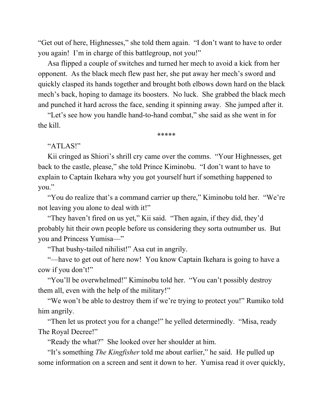"Get out of here, Highnesses," she told them again. "I don't want to have to order you again! I'm in charge of this battlegroup, not you!"

Asa flipped a couple of switches and turned her mech to avoid a kick from her opponent. As the black mech flew past her, she put away her mech's sword and quickly clasped its hands together and brought both elbows down hard on the black mech's back, hoping to damage its boosters. No luck. She grabbed the black mech and punched it hard across the face, sending it spinning away. She jumped after it.

"Let's see how you handle hand-to-hand combat," she said as she went in for the kill.

## \*\*\*\*\*

## "ATLAS!"

Kii cringed as Shiori's shrill cry came over the comms. "Your Highnesses, get back to the castle, please," she told Prince Kiminobu. "I don't want to have to explain to Captain Ikehara why you got yourself hurt if something happened to you."

"You do realize that's a command carrier up there," Kiminobu told her. "We're not leaving you alone to deal with it!"

"They haven't fired on us yet," Kii said. "Then again, if they did, they'd probably hit their own people before us considering they sorta outnumber us. But you and Princess Yumisa—"

"That bushy-tailed nihilist!" Asa cut in angrily.

"-have to get out of here now! You know Captain Ikehara is going to have a cow if you don't!"

"You'll be overwhelmed!" Kiminobu told her. "You can't possibly destroy them all, even with the help of the military!"

"We won't be able to destroy them if we're trying to protect you!" Rumiko told him angrily.

"Then let us protect you for a change!" he yelled determinedly. "Misa, ready The Royal Decree!"

"Ready the what?" She looked over her shoulder at him.

"It's something *The Kingfisher* told me about earlier," he said. He pulled up some information on a screen and sent it down to her. Yumisa read it over quickly,